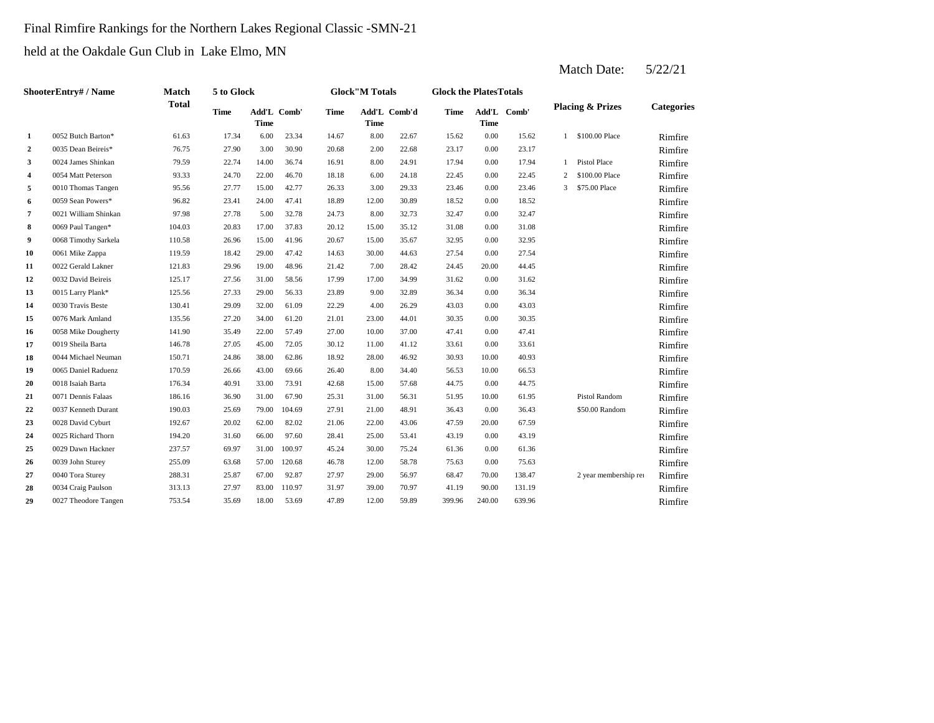# Final Rimfire Rankings for the Northern Lakes Regional Classic -SMN-21

held at the Oakdale Gun Club in Lake Elmo, MN

|                         | <b>ShooterEntry#/Name</b> | <b>Match</b> | 5 to Glock  |                            |        |             | <b>Glock"M Totals</b> |              | <b>Glock the PlatesTotals</b> |                            |        |   |                             |                   |
|-------------------------|---------------------------|--------------|-------------|----------------------------|--------|-------------|-----------------------|--------------|-------------------------------|----------------------------|--------|---|-----------------------------|-------------------|
|                         |                           | <b>Total</b> | <b>Time</b> | Add'L Comb'<br><b>Time</b> |        | <b>Time</b> | <b>Time</b>           | Add'L Comb'd | <b>Time</b>                   | Add'L Comb'<br><b>Time</b> |        |   | <b>Placing &amp; Prizes</b> | <b>Categories</b> |
| 1                       | 0052 Butch Barton*        | 61.63        | 17.34       | 6.00                       | 23.34  | 14.67       | 8.00                  | 22.67        | 15.62                         | 0.00                       | 15.62  |   | 1 \$100.00 Place            | Rimfire           |
| $\overline{a}$          | 0035 Dean Beireis*        | 76.75        | 27.90       | 3.00                       | 30.90  | 20.68       | 2.00                  | 22.68        | 23.17                         | 0.00                       | 23.17  |   |                             | Rimfire           |
| 3                       | 0024 James Shinkan        | 79.59        | 22.74       | 14.00                      | 36.74  | 16.91       | 8.00                  | 24.91        | 17.94                         | 0.00                       | 17.94  |   | Pistol Place                | Rimfire           |
| $\overline{\mathbf{4}}$ | 0054 Matt Peterson        | 93.33        | 24.70       | 22.00                      | 46.70  | 18.18       | 6.00                  | 24.18        | 22.45                         | 0.00                       | 22.45  | 2 | \$100,00 Place              | Rimfire           |
| 5                       | 0010 Thomas Tangen        | 95.56        | 27.77       | 15.00                      | 42.77  | 26.33       | 3.00                  | 29.33        | 23.46                         | 0.00                       | 23.46  | 3 | \$75.00 Place               | Rimfire           |
| 6                       | 0059 Sean Powers*         | 96.82        | 23.41       | 24.00                      | 47.41  | 18.89       | 12.00                 | 30.89        | 18.52                         | 0.00                       | 18.52  |   |                             | Rimfire           |
| $\overline{7}$          | 0021 William Shinkan      | 97.98        | 27.78       | 5.00                       | 32.78  | 24.73       | 8.00                  | 32.73        | 32.47                         | 0.00                       | 32.47  |   |                             | Rimfire           |
| 8                       | 0069 Paul Tangen*         | 104.03       | 20.83       | 17.00                      | 37.83  | 20.12       | 15.00                 | 35.12        | 31.08                         | 0.00                       | 31.08  |   |                             | Rimfire           |
| 9                       | 0068 Timothy Sarkela      | 110.58       | 26.96       | 15.00                      | 41.96  | 20.67       | 15.00                 | 35.67        | 32.95                         | 0.00                       | 32.95  |   |                             | Rimfire           |
| 10                      | 0061 Mike Zappa           | 119.59       | 18.42       | 29.00                      | 47.42  | 14.63       | 30.00                 | 44.63        | 27.54                         | 0.00                       | 27.54  |   |                             | Rimfire           |
| 11                      | 0022 Gerald Lakner        | 121.83       | 29.96       | 19.00                      | 48.96  | 21.42       | 7.00                  | 28.42        | 24.45                         | 20.00                      | 44.45  |   |                             | Rimfire           |
| 12                      | 0032 David Beireis        | 125.17       | 27.56       | 31.00                      | 58.56  | 17.99       | 17.00                 | 34.99        | 31.62                         | 0.00                       | 31.62  |   |                             | Rimfire           |
| 13                      | 0015 Larry Plank*         | 125.56       | 27.33       | 29.00                      | 56.33  | 23.89       | 9.00                  | 32.89        | 36.34                         | 0.00                       | 36.34  |   |                             | Rimfire           |
| 14                      | 0030 Travis Beste         | 130.41       | 29.09       | 32.00                      | 61.09  | 22.29       | 4.00                  | 26.29        | 43.03                         | 0.00                       | 43.03  |   |                             | Rimfire           |
| 15                      | 0076 Mark Amland          | 135.56       | 27.20       | 34.00                      | 61.20  | 21.01       | 23.00                 | 44.01        | 30.35                         | 0.00                       | 30.35  |   |                             | Rimfire           |
| 16                      | 0058 Mike Dougherty       | 141.90       | 35.49       | 22.00                      | 57.49  | 27.00       | 10.00                 | 37.00        | 47.41                         | 0.00                       | 47.41  |   |                             | Rimfire           |
| 17                      | 0019 Sheila Barta         | 146.78       | 27.05       | 45.00                      | 72.05  | 30.12       | 11.00                 | 41.12        | 33.61                         | 0.00                       | 33.61  |   |                             | Rimfire           |
| 18                      | 0044 Michael Neuman       | 150.71       | 24.86       | 38.00                      | 62.86  | 18.92       | 28.00                 | 46.92        | 30.93                         | 10.00                      | 40.93  |   |                             | Rimfire           |
| 19                      | 0065 Daniel Raduenz       | 170.59       | 26.66       | 43.00                      | 69.66  | 26.40       | 8.00                  | 34.40        | 56.53                         | 10.00                      | 66.53  |   |                             | Rimfire           |
| 20                      | 0018 Isaiah Barta         | 176.34       | 40.91       | 33.00                      | 73.91  | 42.68       | 15.00                 | 57.68        | 44.75                         | 0.00                       | 44.75  |   |                             | Rimfire           |
| 21                      | 0071 Dennis Falaas        | 186.16       | 36.90       | 31.00                      | 67.90  | 25.31       | 31.00                 | 56.31        | 51.95                         | 10.00                      | 61.95  |   | Pistol Random               | Rimfire           |
| 22                      | 0037 Kenneth Durant       | 190.03       | 25.69       | 79.00                      | 104.69 | 27.91       | 21.00                 | 48.91        | 36.43                         | 0.00                       | 36.43  |   | \$50.00 Random              | Rimfire           |
| 23                      | 0028 David Cyburt         | 192.67       | 20.02       | 62.00                      | 82.02  | 21.06       | 22.00                 | 43.06        | 47.59                         | 20.00                      | 67.59  |   |                             | Rimfire           |
| 24                      | 0025 Richard Thorn        | 194.20       | 31.60       | 66.00                      | 97.60  | 28.41       | 25.00                 | 53.41        | 43.19                         | 0.00                       | 43.19  |   |                             | Rimfire           |
| 25                      | 0029 Dawn Hackner         | 237.57       | 69.97       | 31.00                      | 100.97 | 45.24       | 30.00                 | 75.24        | 61.36                         | 0.00                       | 61.36  |   |                             | Rimfire           |
| 26                      | 0039 John Sturey          | 255.09       | 63.68       | 57.00                      | 120.68 | 46.78       | 12.00                 | 58.78        | 75.63                         | 0.00                       | 75.63  |   |                             | Rimfire           |
| 27                      | 0040 Tora Sturey          | 288.31       | 25.87       | 67.00                      | 92.87  | 27.97       | 29.00                 | 56.97        | 68.47                         | 70.00                      | 138.47 |   | 2 year membership rei       | Rimfire           |
| 28                      | 0034 Craig Paulson        | 313.13       | 27.97       | 83.00                      | 110.97 | 31.97       | 39.00                 | 70.97        | 41.19                         | 90.00                      | 131.19 |   |                             | Rimfire           |
| 29                      | 0027 Theodore Tangen      | 753.54       | 35.69       | 18.00                      | 53.69  | 47.89       | 12.00                 | 59.89        | 399.96                        | 240.00                     | 639.96 |   |                             | Rimfire           |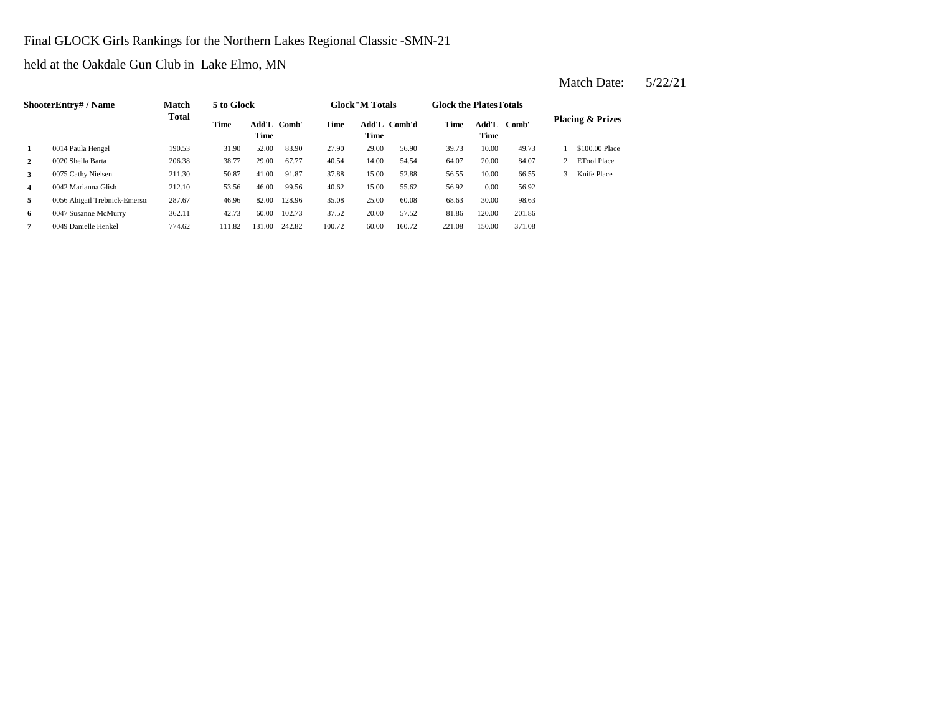#### Final GLOCK Girls Rankings for the Northern Lakes Regional Classic -SMN-21

held at the Oakdale Gun Club in Lake Elmo, MN

|                         | <b>ShooterEntry#/Name</b>     | Match        | 5 to Glock |                     |        |        | <b>Glock</b> "M Totals |              | <b>Glock the PlatesTotals</b> |               |        |                             |
|-------------------------|-------------------------------|--------------|------------|---------------------|--------|--------|------------------------|--------------|-------------------------------|---------------|--------|-----------------------------|
|                         |                               | <b>Total</b> | Time       | Add'L Comb'<br>Time |        | Time   | <b>Time</b>            | Add'L Comb'd | <b>Time</b>                   | Add'L<br>Time | Comb'  | <b>Placing &amp; Prizes</b> |
| 1                       | 0014 Paula Hengel             | 190.53       | 31.90      | 52.00               | 83.90  | 27.90  | 29.00                  | 56.90        | 39.73                         | 10.00         | 49.73  | \$100.00 Place              |
| $\mathbf{2}$            | 0020 Sheila Barta             | 206.38       | 38.77      | 29.00               | 67.77  | 40.54  | 14.00                  | 54.54        | 64.07                         | 20.00         | 84.07  | <b>ETool Place</b>          |
| 3                       | 0075 Cathy Nielsen            | 211.30       | 50.87      | 41.00               | 91.87  | 37.88  | 15.00                  | 52.88        | 56.55                         | 10.00         | 66.55  | Knife Place                 |
| $\overline{\mathbf{4}}$ | 0042 Marianna Glish           | 212.10       | 53.56      | 46.00               | 99.56  | 40.62  | 15.00                  | 55.62        | 56.92                         | 0.00          | 56.92  |                             |
| 5                       | 0056 Abigail Trebnick-Emersor | 287.67       | 46.96      | 82.00               | 128.96 | 35.08  | 25.00                  | 60.08        | 68.63                         | 30.00         | 98.63  |                             |
| 6                       | 0047 Susanne McMurry          | 362.11       | 42.73      | 60.00               | 102.73 | 37.52  | 20.00                  | 57.52        | 81.86                         | 120.00        | 201.86 |                             |
| 7                       | 0049 Danielle Henkel          | 774.62       | 111.82     | 131.00              | 242.82 | 100.72 | 60.00                  | 160.72       | 221.08                        | 150.00        | 371.08 |                             |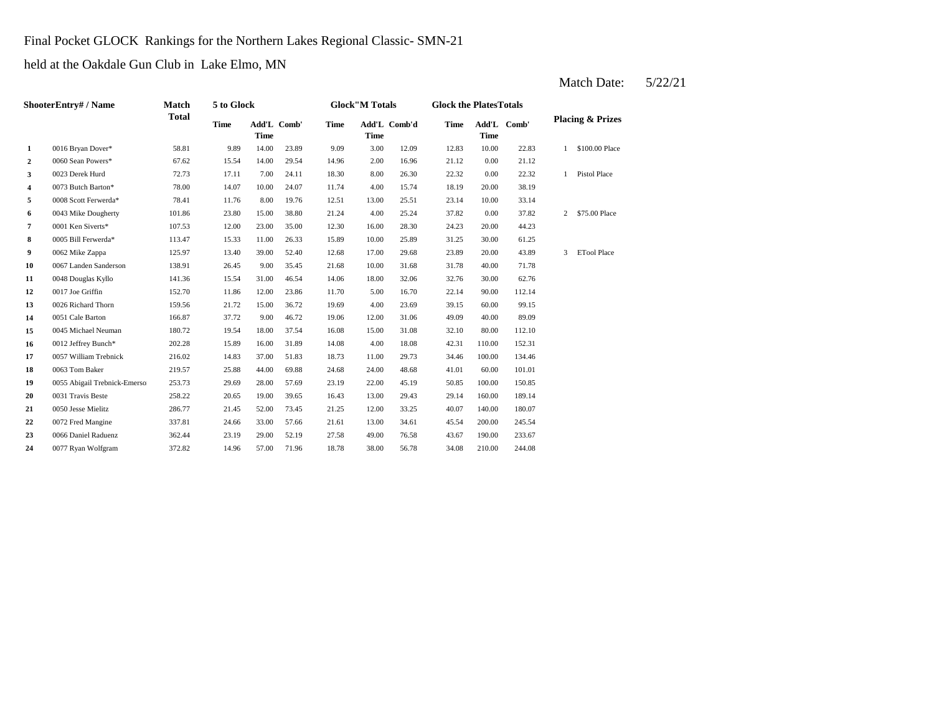# Final Pocket GLOCK Rankings for the Northern Lakes Regional Classic- SMN-21

held at the Oakdale Gun Club in Lake Elmo, MN

|                  | ShooterEntry# / Name          | Match        | 5 to Glock  |       |             |             | <b>Glock"M Totals</b> |              | <b>Glock the PlatesTotals</b> |             |             |                |                             |
|------------------|-------------------------------|--------------|-------------|-------|-------------|-------------|-----------------------|--------------|-------------------------------|-------------|-------------|----------------|-----------------------------|
|                  |                               | <b>Total</b> | <b>Time</b> | Time  | Add'L Comb' | <b>Time</b> | <b>Time</b>           | Add'L Comb'd | <b>Time</b>                   | <b>Time</b> | Add'L Comb' |                | <b>Placing &amp; Prizes</b> |
| 1                | 0016 Bryan Dover*             | 58.81        | 9.89        | 14.00 | 23.89       | 9.09        | 3.00                  | 12.09        | 12.83                         | 10.00       | 22.83       | $\mathbf{1}$   | \$100.00 Place              |
| $\boldsymbol{2}$ | 0060 Sean Powers*             | 67.62        | 15.54       | 14.00 | 29.54       | 14.96       | 2.00                  | 16.96        | 21.12                         | 0.00        | 21.12       |                |                             |
| 3                | 0023 Derek Hurd               | 72.73        | 17.11       | 7.00  | 24.11       | 18.30       | 8.00                  | 26.30        | 22.32                         | 0.00        | 22.32       | $\mathbf{1}$   | Pistol Place                |
| 4                | 0073 Butch Barton*            | 78.00        | 14.07       | 10.00 | 24.07       | 11.74       | 4.00                  | 15.74        | 18.19                         | 20.00       | 38.19       |                |                             |
| 5                | 0008 Scott Ferwerda*          | 78.41        | 11.76       | 8.00  | 19.76       | 12.51       | 13.00                 | 25.51        | 23.14                         | 10.00       | 33.14       |                |                             |
| 6                | 0043 Mike Dougherty           | 101.86       | 23.80       | 15.00 | 38.80       | 21.24       | 4.00                  | 25.24        | 37.82                         | 0.00        | 37.82       | $\overline{2}$ | \$75.00 Place               |
| 7                | 0001 Ken Siverts*             | 107.53       | 12.00       | 23.00 | 35.00       | 12.30       | 16.00                 | 28.30        | 24.23                         | 20.00       | 44.23       |                |                             |
| 8                | 0005 Bill Ferwerda*           | 113.47       | 15.33       | 11.00 | 26.33       | 15.89       | 10.00                 | 25.89        | 31.25                         | 30.00       | 61.25       |                |                             |
| 9                | 0062 Mike Zappa               | 125.97       | 13.40       | 39.00 | 52.40       | 12.68       | 17.00                 | 29.68        | 23.89                         | 20.00       | 43.89       | 3              | <b>ETool Place</b>          |
| 10               | 0067 Landen Sanderson         | 138.91       | 26.45       | 9.00  | 35.45       | 21.68       | 10.00                 | 31.68        | 31.78                         | 40.00       | 71.78       |                |                             |
| 11               | 0048 Douglas Kyllo            | 141.36       | 15.54       | 31.00 | 46.54       | 14.06       | 18.00                 | 32.06        | 32.76                         | 30.00       | 62.76       |                |                             |
| 12               | 0017 Joe Griffin              | 152.70       | 11.86       | 12.00 | 23.86       | 11.70       | 5.00                  | 16.70        | 22.14                         | 90.00       | 112.14      |                |                             |
| 13               | 0026 Richard Thorn            | 159.56       | 21.72       | 15.00 | 36.72       | 19.69       | 4.00                  | 23.69        | 39.15                         | 60.00       | 99.15       |                |                             |
| 14               | 0051 Cale Barton              | 166.87       | 37.72       | 9.00  | 46.72       | 19.06       | 12.00                 | 31.06        | 49.09                         | 40.00       | 89.09       |                |                             |
| 15               | 0045 Michael Neuman           | 180.72       | 19.54       | 18.00 | 37.54       | 16.08       | 15.00                 | 31.08        | 32.10                         | 80.00       | 112.10      |                |                             |
| 16               | 0012 Jeffrey Bunch*           | 202.28       | 15.89       | 16.00 | 31.89       | 14.08       | 4.00                  | 18.08        | 42.31                         | 110.00      | 152.31      |                |                             |
| 17               | 0057 William Trebnick         | 216.02       | 14.83       | 37.00 | 51.83       | 18.73       | 11.00                 | 29.73        | 34.46                         | 100.00      | 134.46      |                |                             |
| 18               | 0063 Tom Baker                | 219.57       | 25.88       | 44.00 | 69.88       | 24.68       | 24.00                 | 48.68        | 41.01                         | 60.00       | 101.01      |                |                             |
| 19               | 0055 Abigail Trebnick-Emersor | 253.73       | 29.69       | 28.00 | 57.69       | 23.19       | 22.00                 | 45.19        | 50.85                         | 100.00      | 150.85      |                |                             |
| 20               | 0031 Travis Beste             | 258.22       | 20.65       | 19.00 | 39.65       | 16.43       | 13.00                 | 29.43        | 29.14                         | 160.00      | 189.14      |                |                             |
| 21               | 0050 Jesse Mielitz            | 286.77       | 21.45       | 52.00 | 73.45       | 21.25       | 12.00                 | 33.25        | 40.07                         | 140.00      | 180.07      |                |                             |
| 22               | 0072 Fred Mangine             | 337.81       | 24.66       | 33.00 | 57.66       | 21.61       | 13.00                 | 34.61        | 45.54                         | 200.00      | 245.54      |                |                             |
| 23               | 0066 Daniel Raduenz           | 362.44       | 23.19       | 29.00 | 52.19       | 27.58       | 49.00                 | 76.58        | 43.67                         | 190.00      | 233.67      |                |                             |
| 24               | 0077 Ryan Wolfgram            | 372.82       | 14.96       | 57.00 | 71.96       | 18.78       | 38.00                 | 56.78        | 34.08                         | 210.00      | 244.08      |                |                             |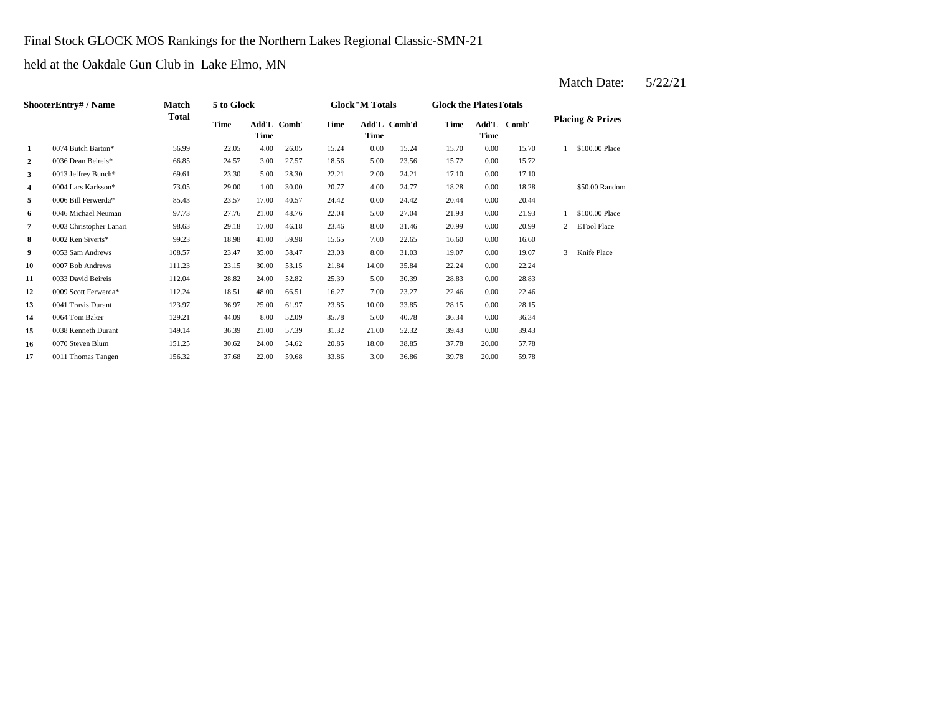# Final Stock GLOCK MOS Rankings for the Northern Lakes Regional Classic-SMN-21

held at the Oakdale Gun Club in Lake Elmo, MN

|                  | ShooterEntry# / Name    | Match        | 5 to Glock |       |             |       | <b>Glock"M Totals</b> |              | <b>Glock the PlatesTotals</b> |                     |       |                |                             |
|------------------|-------------------------|--------------|------------|-------|-------------|-------|-----------------------|--------------|-------------------------------|---------------------|-------|----------------|-----------------------------|
|                  |                         | <b>Total</b> | Time       | Time  | Add'L Comb' | Time  | Time                  | Add'L Comb'd | Time                          | Add'L Comb'<br>Time |       |                | <b>Placing &amp; Prizes</b> |
| 1                | 0074 Butch Barton*      | 56.99        | 22.05      | 4.00  | 26.05       | 15.24 | 0.00                  | 15.24        | 15.70                         | 0.00                | 15.70 |                | \$100.00 Place              |
| $\boldsymbol{2}$ | 0036 Dean Beireis*      | 66.85        | 24.57      | 3.00  | 27.57       | 18.56 | 5.00                  | 23.56        | 15.72                         | 0.00                | 15.72 |                |                             |
| 3                | 0013 Jeffrey Bunch*     | 69.61        | 23.30      | 5.00  | 28.30       | 22.21 | 2.00                  | 24.21        | 17.10                         | 0.00                | 17.10 |                |                             |
| 4                | 0004 Lars Karlsson*     | 73.05        | 29.00      | 1.00  | 30.00       | 20.77 | 4.00                  | 24.77        | 18.28                         | 0.00                | 18.28 |                | \$50.00 Random              |
| 5                | 0006 Bill Ferwerda*     | 85.43        | 23.57      | 17.00 | 40.57       | 24.42 | 0.00                  | 24.42        | 20.44                         | 0.00                | 20.44 |                |                             |
| 6                | 0046 Michael Neuman     | 97.73        | 27.76      | 21.00 | 48.76       | 22.04 | 5.00                  | 27.04        | 21.93                         | 0.00                | 21.93 |                | \$100.00 Place              |
| 7                | 0003 Christopher Lanari | 98.63        | 29.18      | 17.00 | 46.18       | 23.46 | 8.00                  | 31.46        | 20.99                         | 0.00                | 20.99 | $\overline{2}$ | <b>ETool Place</b>          |
| 8                | 0002 Ken Siverts*       | 99.23        | 18.98      | 41.00 | 59.98       | 15.65 | 7.00                  | 22.65        | 16.60                         | 0.00                | 16.60 |                |                             |
| 9                | 0053 Sam Andrews        | 108.57       | 23.47      | 35.00 | 58.47       | 23.03 | 8.00                  | 31.03        | 19.07                         | 0.00                | 19.07 | 3              | Knife Place                 |
| 10               | 0007 Bob Andrews        | 111.23       | 23.15      | 30.00 | 53.15       | 21.84 | 14.00                 | 35.84        | 22.24                         | 0.00                | 22.24 |                |                             |
| 11               | 0033 David Beireis      | 112.04       | 28.82      | 24.00 | 52.82       | 25.39 | 5.00                  | 30.39        | 28.83                         | 0.00                | 28.83 |                |                             |
| 12               | 0009 Scott Ferwerda*    | 112.24       | 18.51      | 48.00 | 66.51       | 16.27 | 7.00                  | 23.27        | 22.46                         | 0.00                | 22.46 |                |                             |
| 13               | 0041 Travis Durant      | 123.97       | 36.97      | 25.00 | 61.97       | 23.85 | 10.00                 | 33.85        | 28.15                         | 0.00                | 28.15 |                |                             |
| 14               | 0064 Tom Baker          | 129.21       | 44.09      | 8.00  | 52.09       | 35.78 | 5.00                  | 40.78        | 36.34                         | 0.00                | 36.34 |                |                             |
| 15               | 0038 Kenneth Durant     | 149.14       | 36.39      | 21.00 | 57.39       | 31.32 | 21.00                 | 52.32        | 39.43                         | 0.00                | 39.43 |                |                             |
| 16               | 0070 Steven Blum        | 151.25       | 30.62      | 24.00 | 54.62       | 20.85 | 18.00                 | 38.85        | 37.78                         | 20.00               | 57.78 |                |                             |
| 17               | 0011 Thomas Tangen      | 156.32       | 37.68      | 22.00 | 59.68       | 33.86 | 3.00                  | 36.86        | 39.78                         | 20.00               | 59.78 |                |                             |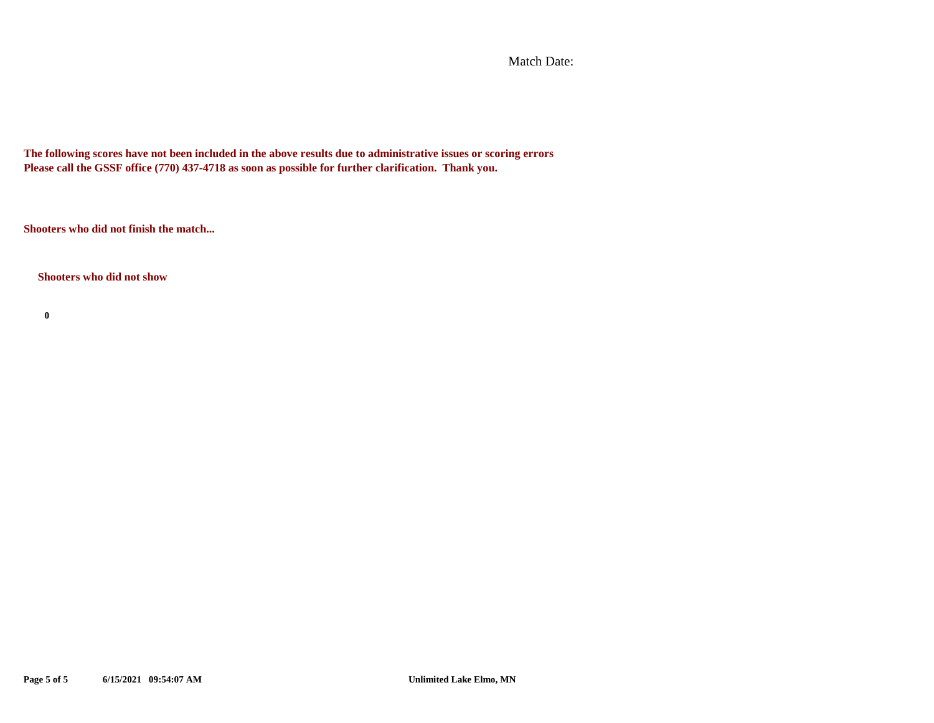Match Date:

**The following scores have not been included in the above results due to administrative issues or scoring errors Please call the GSSF office (770) 437-4718 as soon as possible for further clarification. Thank you.**

**Shooters who did not finish the match...**

**Shooters who did not show**

**0**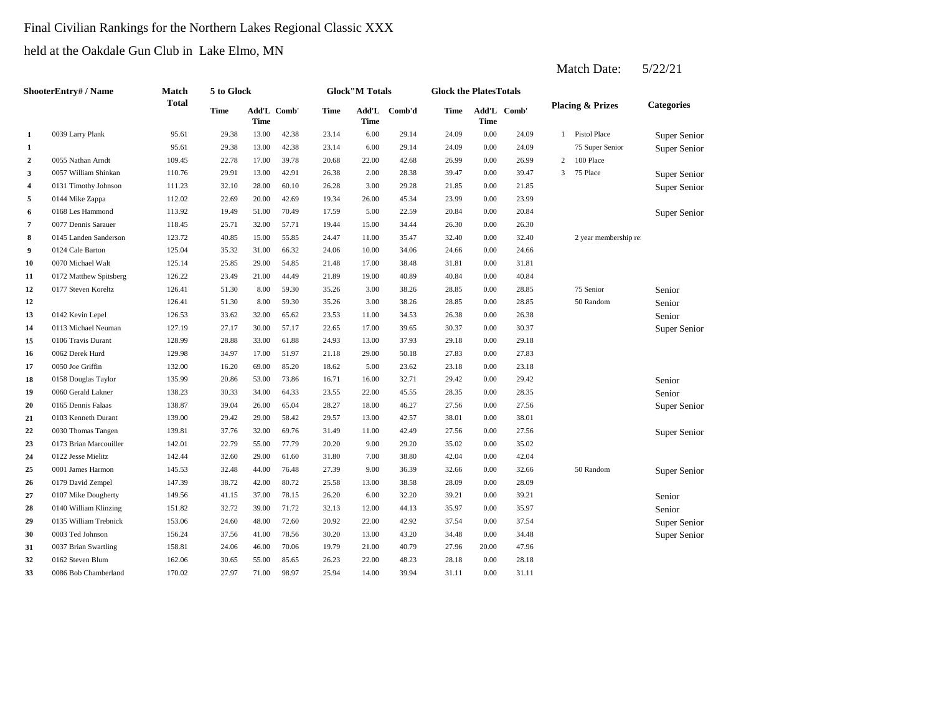# Final Civilian Rankings for the Northern Lakes Regional Classic XXX

held at the Oakdale Gun Club in Lake Elmo, MN

|                         | ShooterEntry# / Name   | Match        | 5 to Glock |                     |       |             | <b>Glock</b> "M Totals |        | <b>Glock the PlatesTotals</b> |             |             |   |                             |                     |
|-------------------------|------------------------|--------------|------------|---------------------|-------|-------------|------------------------|--------|-------------------------------|-------------|-------------|---|-----------------------------|---------------------|
|                         |                        | <b>Total</b> | Time       | Add'L Comb'<br>Time |       | <b>Time</b> | Add'L<br><b>Time</b>   | Comb'd | Time                          | <b>Time</b> | Add'L Comb' |   | <b>Placing &amp; Prizes</b> | <b>Categories</b>   |
| $\mathbf{1}$            | 0039 Larry Plank       | 95.61        | 29.38      | 13.00               | 42.38 | 23.14       | 6.00                   | 29.14  | 24.09                         | 0.00        | 24.09       | 1 | <b>Pistol Place</b>         | Super Senior        |
| 1                       |                        | 95.61        | 29.38      | 13.00               | 42.38 | 23.14       | 6.00                   | 29.14  | 24.09                         | 0.00        | 24.09       |   | 75 Super Senior             | <b>Super Senior</b> |
| $\overline{a}$          | 0055 Nathan Arndt      | 109.45       | 22.78      | 17.00               | 39.78 | 20.68       | 22.00                  | 42.68  | 26.99                         | 0.00        | 26.99       | 2 | 100 Place                   |                     |
| 3                       | 0057 William Shinkan   | 110.76       | 29.91      | 13.00               | 42.91 | 26.38       | 2.00                   | 28.38  | 39.47                         | 0.00        | 39.47       | 3 | 75 Place                    | Super Senior        |
| $\overline{\mathbf{4}}$ | 0131 Timothy Johnson   | 111.23       | 32.10      | 28.00               | 60.10 | 26.28       | 3.00                   | 29.28  | 21.85                         | 0.00        | 21.85       |   |                             | Super Senior        |
| 5                       | 0144 Mike Zappa        | 112.02       | 22.69      | 20.00               | 42.69 | 19.34       | 26.00                  | 45.34  | 23.99                         | 0.00        | 23.99       |   |                             |                     |
| 6                       | 0168 Les Hammond       | 113.92       | 19.49      | 51.00               | 70.49 | 17.59       | 5.00                   | 22.59  | 20.84                         | 0.00        | 20.84       |   |                             | Super Senior        |
| $\overline{\mathbf{7}}$ | 0077 Dennis Sarauer    | 118.45       | 25.71      | 32.00               | 57.71 | 19.44       | 15.00                  | 34.44  | 26.30                         | 0.00        | 26.30       |   |                             |                     |
| 8                       | 0145 Landen Sanderson  | 123.72       | 40.85      | 15.00               | 55.85 | 24.47       | 11.00                  | 35.47  | 32.40                         | 0.00        | 32.40       |   | 2 year membership re        |                     |
| 9                       | 0124 Cale Barton       | 125.04       | 35.32      | 31.00               | 66.32 | 24.06       | 10.00                  | 34.06  | 24.66                         | 0.00        | 24.66       |   |                             |                     |
| 10                      | 0070 Michael Walt      | 125.14       | 25.85      | 29.00               | 54.85 | 21.48       | 17.00                  | 38.48  | 31.81                         | 0.00        | 31.81       |   |                             |                     |
| 11                      | 0172 Matthew Spitsberg | 126.22       | 23.49      | 21.00               | 44.49 | 21.89       | 19.00                  | 40.89  | 40.84                         | 0.00        | 40.84       |   |                             |                     |
| 12                      | 0177 Steven Koreltz    | 126.41       | 51.30      | 8.00                | 59.30 | 35.26       | 3.00                   | 38.26  | 28.85                         | 0.00        | 28.85       |   | 75 Senior                   | Senior              |
| 12                      |                        | 126.41       | 51.30      | 8.00                | 59.30 | 35.26       | 3.00                   | 38.26  | 28.85                         | 0.00        | 28.85       |   | 50 Random                   | Senior              |
| 13                      | 0142 Kevin Lepel       | 126.53       | 33.62      | 32.00               | 65.62 | 23.53       | 11.00                  | 34.53  | 26.38                         | 0.00        | 26.38       |   |                             | Senior              |
| 14                      | 0113 Michael Neuman    | 127.19       | 27.17      | 30.00               | 57.17 | 22.65       | 17.00                  | 39.65  | 30.37                         | 0.00        | 30.37       |   |                             | Super Senior        |
| 15                      | 0106 Travis Durant     | 128.99       | 28.88      | 33.00               | 61.88 | 24.93       | 13.00                  | 37.93  | 29.18                         | 0.00        | 29.18       |   |                             |                     |
| 16                      | 0062 Derek Hurd        | 129.98       | 34.97      | 17.00               | 51.97 | 21.18       | 29.00                  | 50.18  | 27.83                         | 0.00        | 27.83       |   |                             |                     |
| 17                      | 0050 Joe Griffin       | 132.00       | 16.20      | 69.00               | 85.20 | 18.62       | 5.00                   | 23.62  | 23.18                         | 0.00        | 23.18       |   |                             |                     |
| 18                      | 0158 Douglas Taylor    | 135.99       | 20.86      | 53.00               | 73.86 | 16.71       | 16.00                  | 32.71  | 29.42                         | 0.00        | 29.42       |   |                             | Senior              |
| 19                      | 0060 Gerald Lakner     | 138.23       | 30.33      | 34.00               | 64.33 | 23.55       | 22.00                  | 45.55  | 28.35                         | 0.00        | 28.35       |   |                             | Senior              |
| 20                      | 0165 Dennis Falaas     | 138.87       | 39.04      | 26.00               | 65.04 | 28.27       | 18.00                  | 46.27  | 27.56                         | 0.00        | 27.56       |   |                             | Super Senior        |
| 21                      | 0103 Kenneth Durant    | 139.00       | 29.42      | 29.00               | 58.42 | 29.57       | 13.00                  | 42.57  | 38.01                         | 0.00        | 38.01       |   |                             |                     |
| 22                      | 0030 Thomas Tangen     | 139.81       | 37.76      | 32.00               | 69.76 | 31.49       | 11.00                  | 42.49  | 27.56                         | 0.00        | 27.56       |   |                             | Super Senior        |
| 23                      | 0173 Brian Marcouiller | 142.01       | 22.79      | 55.00               | 77.79 | 20.20       | 9.00                   | 29.20  | 35.02                         | 0.00        | 35.02       |   |                             |                     |
| 24                      | 0122 Jesse Mielitz     | 142.44       | 32.60      | 29.00               | 61.60 | 31.80       | 7.00                   | 38.80  | 42.04                         | 0.00        | 42.04       |   |                             |                     |
| 25                      | 0001 James Harmon      | 145.53       | 32.48      | 44.00               | 76.48 | 27.39       | 9.00                   | 36.39  | 32.66                         | 0.00        | 32.66       |   | 50 Random                   | Super Senior        |
| 26                      | 0179 David Zempel      | 147.39       | 38.72      | 42.00               | 80.72 | 25.58       | 13.00                  | 38.58  | 28.09                         | 0.00        | 28.09       |   |                             |                     |
| 27                      | 0107 Mike Dougherty    | 149.56       | 41.15      | 37.00               | 78.15 | 26.20       | 6.00                   | 32.20  | 39.21                         | 0.00        | 39.21       |   |                             | Senior              |
| 28                      | 0140 William Klinzing  | 151.82       | 32.72      | 39.00               | 71.72 | 32.13       | 12.00                  | 44.13  | 35.97                         | 0.00        | 35.97       |   |                             | Senior              |
| 29                      | 0135 William Trebnick  | 153.06       | 24.60      | 48.00               | 72.60 | 20.92       | 22.00                  | 42.92  | 37.54                         | 0.00        | 37.54       |   |                             | Super Senior        |
| 30                      | 0003 Ted Johnson       | 156.24       | 37.56      | 41.00               | 78.56 | 30.20       | 13.00                  | 43.20  | 34.48                         | 0.00        | 34.48       |   |                             | Super Senior        |
| 31                      | 0037 Brian Swartling   | 158.81       | 24.06      | 46.00               | 70.06 | 19.79       | 21.00                  | 40.79  | 27.96                         | 20.00       | 47.96       |   |                             |                     |
| 32                      | 0162 Steven Blum       | 162.06       | 30.65      | 55.00               | 85.65 | 26.23       | 22.00                  | 48.23  | 28.18                         | 0.00        | 28.18       |   |                             |                     |
| 33                      | 0086 Bob Chamberland   | 170.02       | 27.97      | 71.00               | 98.97 | 25.94       | 14.00                  | 39.94  | 31.11                         | 0.00        | 31.11       |   |                             |                     |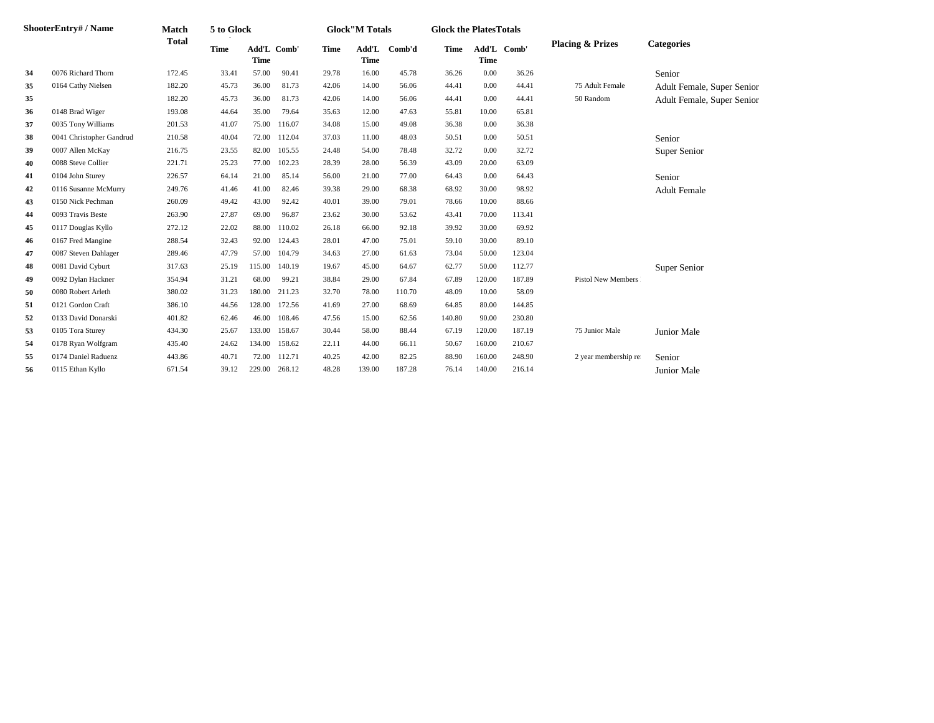|    | <b>ShooterEntry#/Name</b> | Match        | 5 to Glock  |             |             |       | <b>Glock</b> "M Totals |        | <b>Glock the PlatesTotals</b> |             |             |                             |                            |
|----|---------------------------|--------------|-------------|-------------|-------------|-------|------------------------|--------|-------------------------------|-------------|-------------|-----------------------------|----------------------------|
|    |                           | <b>Total</b> | <b>Time</b> | <b>Time</b> | Add'L Comb' | Time  | Add'L<br><b>Time</b>   | Comb'd | <b>Time</b>                   | <b>Time</b> | Add'L Comb' | <b>Placing &amp; Prizes</b> | <b>Categories</b>          |
| 34 | 0076 Richard Thorn        | 172.45       | 33.41       | 57.00       | 90.41       | 29.78 | 16.00                  | 45.78  | 36.26                         | 0.00        | 36.26       |                             | Senior                     |
| 35 | 0164 Cathy Nielsen        | 182.20       | 45.73       | 36.00       | 81.73       | 42.06 | 14.00                  | 56.06  | 44.41                         | 0.00        | 44.41       | 75 Adult Female             | Adult Female, Super Senior |
| 35 |                           | 182.20       | 45.73       | 36.00       | 81.73       | 42.06 | 14.00                  | 56.06  | 44.41                         | 0.00        | 44.41       | 50 Random                   | Adult Female, Super Senior |
| 36 | 0148 Brad Wiger           | 193.08       | 44.64       | 35.00       | 79.64       | 35.63 | 12.00                  | 47.63  | 55.81                         | 10.00       | 65.81       |                             |                            |
| 37 | 0035 Tony Williams        | 201.53       | 41.07       | 75.00       | 116.07      | 34.08 | 15.00                  | 49.08  | 36.38                         | 0.00        | 36.38       |                             |                            |
| 38 | 0041 Christopher Gandrud  | 210.58       | 40.04       | 72.00       | 112.04      | 37.03 | 11.00                  | 48.03  | 50.51                         | 0.00        | 50.51       |                             | Senior                     |
| 39 | 0007 Allen McKay          | 216.75       | 23.55       | 82.00       | 105.55      | 24.48 | 54.00                  | 78.48  | 32.72                         | 0.00        | 32.72       |                             | Super Senior               |
| 40 | 0088 Steve Collier        | 221.71       | 25.23       | 77.00       | 102.23      | 28.39 | 28.00                  | 56.39  | 43.09                         | 20.00       | 63.09       |                             |                            |
| 41 | 0104 John Sturey          | 226.57       | 64.14       | 21.00       | 85.14       | 56.00 | 21.00                  | 77.00  | 64.43                         | 0.00        | 64.43       |                             | Senior                     |
| 42 | 0116 Susanne McMurry      | 249.76       | 41.46       | 41.00       | 82.46       | 39.38 | 29.00                  | 68.38  | 68.92                         | 30.00       | 98.92       |                             | <b>Adult Female</b>        |
| 43 | 0150 Nick Pechman         | 260.09       | 49.42       | 43.00       | 92.42       | 40.01 | 39.00                  | 79.01  | 78.66                         | 10.00       | 88.66       |                             |                            |
| 44 | 0093 Travis Beste         | 263.90       | 27.87       | 69.00       | 96.87       | 23.62 | 30.00                  | 53.62  | 43.41                         | 70.00       | 113.41      |                             |                            |
| 45 | 0117 Douglas Kyllo        | 272.12       | 22.02       | 88.00       | 110.02      | 26.18 | 66.00                  | 92.18  | 39.92                         | 30.00       | 69.92       |                             |                            |
| 46 | 0167 Fred Mangine         | 288.54       | 32.43       | 92.00       | 124.43      | 28.01 | 47.00                  | 75.01  | 59.10                         | 30.00       | 89.10       |                             |                            |
| 47 | 0087 Steven Dahlager      | 289.46       | 47.79       | 57.00       | 104.79      | 34.63 | 27.00                  | 61.63  | 73.04                         | 50.00       | 123.04      |                             |                            |
| 48 | 0081 David Cyburt         | 317.63       | 25.19       | 115.00      | 140.19      | 19.67 | 45.00                  | 64.67  | 62.77                         | 50.00       | 112.77      |                             | Super Senior               |
| 49 | 0092 Dylan Hackner        | 354.94       | 31.21       | 68.00       | 99.21       | 38.84 | 29.00                  | 67.84  | 67.89                         | 120.00      | 187.89      | <b>Pistol New Members</b>   |                            |
| 50 | 0080 Robert Arleth        | 380.02       | 31.23       | 180.00      | 211.23      | 32.70 | 78.00                  | 110.70 | 48.09                         | 10.00       | 58.09       |                             |                            |
| 51 | 0121 Gordon Craft         | 386.10       | 44.56       | 128.00      | 172.56      | 41.69 | 27.00                  | 68.69  | 64.85                         | 80.00       | 144.85      |                             |                            |
| 52 | 0133 David Donarski       | 401.82       | 62.46       | 46.00       | 108.46      | 47.56 | 15.00                  | 62.56  | 140.80                        | 90.00       | 230.80      |                             |                            |
| 53 | 0105 Tora Sturey          | 434.30       | 25.67       | 133.00      | 158.67      | 30.44 | 58.00                  | 88.44  | 67.19                         | 120.00      | 187.19      | 75 Junior Male              | Junior Male                |
| 54 | 0178 Ryan Wolfgram        | 435.40       | 24.62       | 134.00      | 158.62      | 22.11 | 44.00                  | 66.11  | 50.67                         | 160.00      | 210.67      |                             |                            |
| 55 | 0174 Daniel Raduenz       | 443.86       | 40.71       | 72.00       | 112.71      | 40.25 | 42.00                  | 82.25  | 88.90                         | 160.00      | 248.90      | 2 year membership re        | Senior                     |
| 56 | 0115 Ethan Kyllo          | 671.54       | 39.12       | 229.00      | 268.12      | 48.28 | 139.00                 | 187.28 | 76.14                         | 140.00      | 216.14      |                             | <b>Junior Male</b>         |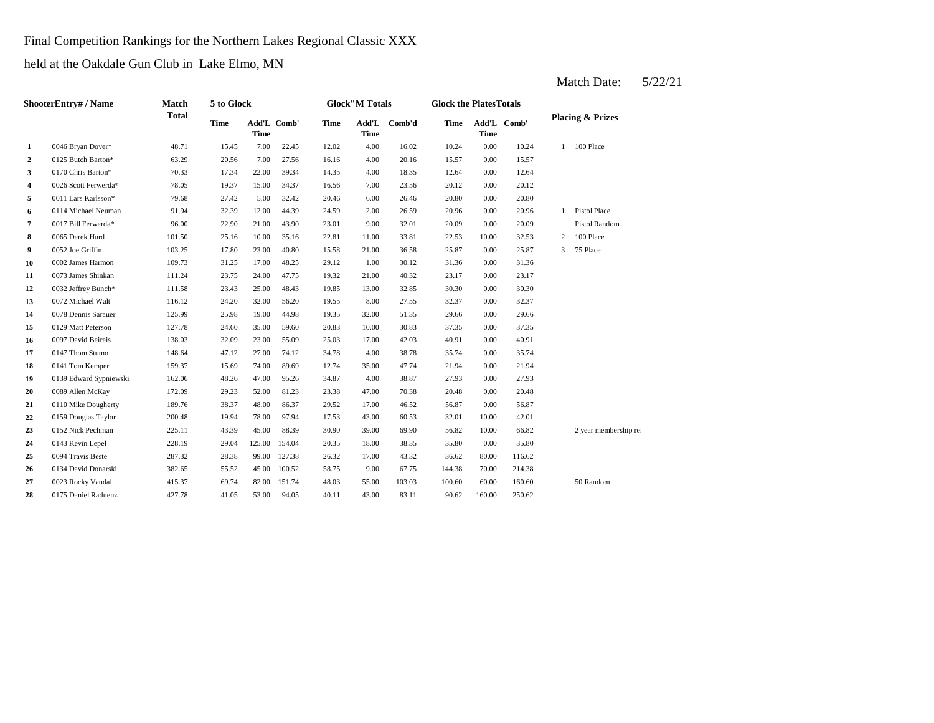Final Competition Rankings for the Northern Lakes Regional Classic XXX

held at the Oakdale Gun Club in Lake Elmo, MN

| <b>ShooterEntry#/Name</b> | Match                  | 5 to Glock   |             |             |             | <b>Glock</b> "M Totals |                      | <b>Glock the PlatesTotals</b> |             |             |             |                |                             |
|---------------------------|------------------------|--------------|-------------|-------------|-------------|------------------------|----------------------|-------------------------------|-------------|-------------|-------------|----------------|-----------------------------|
|                           |                        | <b>Total</b> | <b>Time</b> | <b>Time</b> | Add'L Comb' | Time                   | Add'L<br><b>Time</b> | Comb'd                        | <b>Time</b> | <b>Time</b> | Add'L Comb' |                | <b>Placing &amp; Prizes</b> |
| 1                         | 0046 Bryan Dover*      | 48.71        | 15.45       | 7.00        | 22.45       | 12.02                  | 4.00                 | 16.02                         | 10.24       | 0.00        | 10.24       | $\mathbf{1}$   | 100 Place                   |
| $\mathbf{2}$              | 0125 Butch Barton*     | 63.29        | 20.56       | 7.00        | 27.56       | 16.16                  | 4.00                 | 20.16                         | 15.57       | 0.00        | 15.57       |                |                             |
| 3                         | 0170 Chris Barton*     | 70.33        | 17.34       | 22.00       | 39.34       | 14.35                  | 4.00                 | 18.35                         | 12.64       | 0.00        | 12.64       |                |                             |
| 4                         | 0026 Scott Ferwerda*   | 78.05        | 19.37       | 15.00       | 34.37       | 16.56                  | 7.00                 | 23.56                         | 20.12       | 0.00        | 20.12       |                |                             |
| 5                         | 0011 Lars Karlsson*    | 79.68        | 27.42       | 5.00        | 32.42       | 20.46                  | 6.00                 | 26.46                         | 20.80       | 0.00        | 20.80       |                |                             |
| 6                         | 0114 Michael Neuman    | 91.94        | 32.39       | 12.00       | 44.39       | 24.59                  | 2.00                 | 26.59                         | 20.96       | 0.00        | 20.96       | $\mathbf{1}$   | Pistol Place                |
| 7                         | 0017 Bill Ferwerda*    | 96.00        | 22.90       | 21.00       | 43.90       | 23.01                  | 9.00                 | 32.01                         | 20.09       | 0.00        | 20.09       |                | Pistol Random               |
| 8                         | 0065 Derek Hurd        | 101.50       | 25.16       | 10.00       | 35.16       | 22.81                  | 11.00                | 33.81                         | 22.53       | 10.00       | 32.53       | $\overline{c}$ | 100 Place                   |
| 9                         | 0052 Joe Griffin       | 103.25       | 17.80       | 23.00       | 40.80       | 15.58                  | 21.00                | 36.58                         | 25.87       | 0.00        | 25.87       | $\overline{3}$ | 75 Place                    |
| 10                        | 0002 James Harmon      | 109.73       | 31.25       | 17.00       | 48.25       | 29.12                  | 1.00                 | 30.12                         | 31.36       | 0.00        | 31.36       |                |                             |
| 11                        | 0073 James Shinkan     | 111.24       | 23.75       | 24.00       | 47.75       | 19.32                  | 21.00                | 40.32                         | 23.17       | 0.00        | 23.17       |                |                             |
| 12                        | 0032 Jeffrey Bunch*    | 111.58       | 23.43       | 25.00       | 48.43       | 19.85                  | 13.00                | 32.85                         | 30.30       | 0.00        | 30.30       |                |                             |
| 13                        | 0072 Michael Walt      | 116.12       | 24.20       | 32.00       | 56.20       | 19.55                  | 8.00                 | 27.55                         | 32.37       | 0.00        | 32.37       |                |                             |
| 14                        | 0078 Dennis Sarauer    | 125.99       | 25.98       | 19.00       | 44.98       | 19.35                  | 32.00                | 51.35                         | 29.66       | 0.00        | 29.66       |                |                             |
| 15                        | 0129 Matt Peterson     | 127.78       | 24.60       | 35.00       | 59.60       | 20.83                  | 10.00                | 30.83                         | 37.35       | 0.00        | 37.35       |                |                             |
| 16                        | 0097 David Beireis     | 138.03       | 32.09       | 23.00       | 55.09       | 25.03                  | 17.00                | 42.03                         | 40.91       | 0.00        | 40.91       |                |                             |
| 17                        | 0147 Thom Stumo        | 148.64       | 47.12       | 27.00       | 74.12       | 34.78                  | 4.00                 | 38.78                         | 35.74       | 0.00        | 35.74       |                |                             |
| 18                        | 0141 Tom Kemper        | 159.37       | 15.69       | 74.00       | 89.69       | 12.74                  | 35.00                | 47.74                         | 21.94       | 0.00        | 21.94       |                |                             |
| 19                        | 0139 Edward Sypniewski | 162.06       | 48.26       | 47.00       | 95.26       | 34.87                  | 4.00                 | 38.87                         | 27.93       | 0.00        | 27.93       |                |                             |
| 20                        | 0089 Allen McKay       | 172.09       | 29.23       | 52.00       | 81.23       | 23.38                  | 47.00                | 70.38                         | 20.48       | 0.00        | 20.48       |                |                             |
| 21                        | 0110 Mike Dougherty    | 189.76       | 38.37       | 48.00       | 86.37       | 29.52                  | 17.00                | 46.52                         | 56.87       | 0.00        | 56.87       |                |                             |
| 22                        | 0159 Douglas Taylor    | 200.48       | 19.94       | 78.00       | 97.94       | 17.53                  | 43.00                | 60.53                         | 32.01       | 10.00       | 42.01       |                |                             |
| 23                        | 0152 Nick Pechman      | 225.11       | 43.39       | 45.00       | 88.39       | 30.90                  | 39.00                | 69.90                         | 56.82       | 10.00       | 66.82       |                | 2 year membership re        |
| 24                        | 0143 Kevin Lepel       | 228.19       | 29.04       | 125.00      | 154.04      | 20.35                  | 18.00                | 38.35                         | 35.80       | 0.00        | 35.80       |                |                             |
| 25                        | 0094 Travis Beste      | 287.32       | 28.38       | 99.00       | 127.38      | 26.32                  | 17.00                | 43.32                         | 36.62       | 80.00       | 116.62      |                |                             |
| 26                        | 0134 David Donarski    | 382.65       | 55.52       | 45.00       | 100.52      | 58.75                  | 9.00                 | 67.75                         | 144.38      | 70.00       | 214.38      |                |                             |
| 27                        | 0023 Rocky Vandal      | 415.37       | 69.74       | 82.00       | 151.74      | 48.03                  | 55.00                | 103.03                        | 100.60      | 60.00       | 160.60      |                | 50 Random                   |
| 28                        | 0175 Daniel Raduenz    | 427.78       | 41.05       | 53.00       | 94.05       | 40.11                  | 43.00                | 83.11                         | 90.62       | 160.00      | 250.62      |                |                             |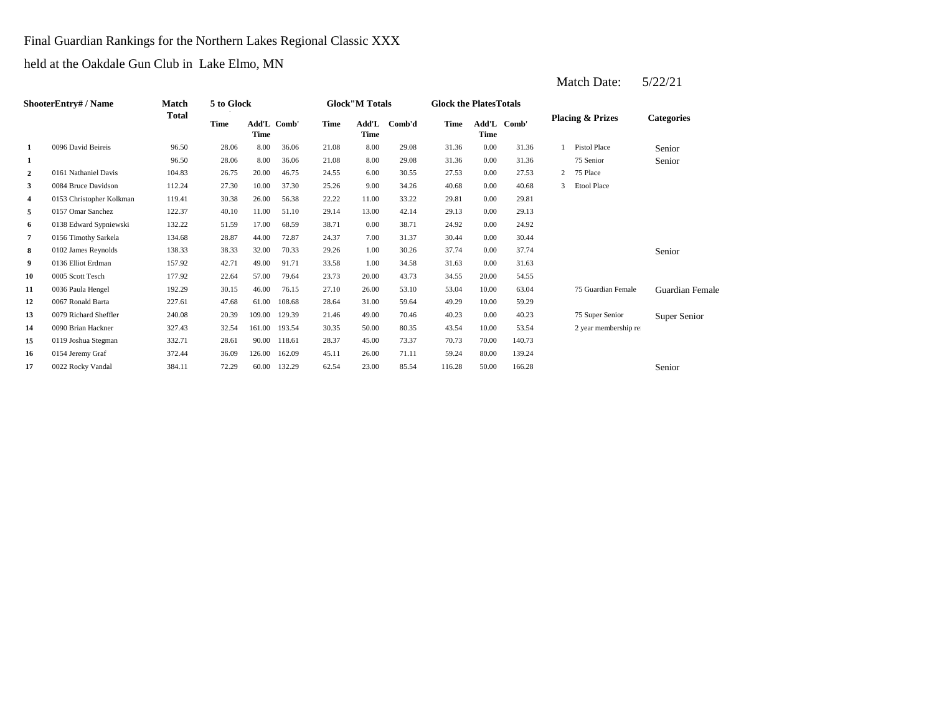Final Guardian Rankings for the Northern Lakes Regional Classic XXX

held at the Oakdale Gun Club in Lake Elmo, MN

|                | ShooterEntry# / Name     | Match        | 5 to Glock  |        |             |       | <b>Glock"M Totals</b> |        | <b>Glock the PlatesTotals</b> |             |             |                |                             |                   |
|----------------|--------------------------|--------------|-------------|--------|-------------|-------|-----------------------|--------|-------------------------------|-------------|-------------|----------------|-----------------------------|-------------------|
|                |                          | <b>Total</b> | <b>Time</b> | Time   | Add'L Comb' | Time  | Add'L<br>Time         | Comb'd | Time                          | <b>Time</b> | Add'L Comb' |                | <b>Placing &amp; Prizes</b> | <b>Categories</b> |
| 1              | 0096 David Beireis       | 96.50        | 28.06       | 8.00   | 36.06       | 21.08 | 8.00                  | 29.08  | 31.36                         | 0.00        | 31.36       |                | Pistol Place                | Senior            |
| 1              |                          | 96.50        | 28.06       | 8.00   | 36.06       | 21.08 | 8.00                  | 29.08  | 31.36                         | 0.00        | 31.36       |                | 75 Senior                   | Senior            |
| $\overline{2}$ | 0161 Nathaniel Davis     | 104.83       | 26.75       | 20.00  | 46.75       | 24.55 | 6.00                  | 30.55  | 27.53                         | 0.00        | 27.53       | $\overline{2}$ | 75 Place                    |                   |
| 3              | 0084 Bruce Davidson      | 112.24       | 27.30       | 10.00  | 37.30       | 25.26 | 9.00                  | 34.26  | 40.68                         | 0.00        | 40.68       | 3              | <b>Etool Place</b>          |                   |
| 4              | 0153 Christopher Kolkman | 119.41       | 30.38       | 26.00  | 56.38       | 22.22 | 11.00                 | 33.22  | 29.81                         | 0.00        | 29.81       |                |                             |                   |
| 5              | 0157 Omar Sanchez        | 122.37       | 40.10       | 11.00  | 51.10       | 29.14 | 13.00                 | 42.14  | 29.13                         | 0.00        | 29.13       |                |                             |                   |
| 6              | 0138 Edward Sypniewski   | 132.22       | 51.59       | 17.00  | 68.59       | 38.71 | 0.00                  | 38.71  | 24.92                         | 0.00        | 24.92       |                |                             |                   |
| 7              | 0156 Timothy Sarkela     | 134.68       | 28.87       | 44.00  | 72.87       | 24.37 | 7.00                  | 31.37  | 30.44                         | 0.00        | 30.44       |                |                             |                   |
| 8              | 0102 James Reynolds      | 138.33       | 38.33       | 32.00  | 70.33       | 29.26 | 1.00                  | 30.26  | 37.74                         | 0.00        | 37.74       |                |                             | Senior            |
| 9              | 0136 Elliot Erdman       | 157.92       | 42.71       | 49.00  | 91.71       | 33.58 | 1.00                  | 34.58  | 31.63                         | 0.00        | 31.63       |                |                             |                   |
| 10             | 0005 Scott Tesch         | 177.92       | 22.64       | 57.00  | 79.64       | 23.73 | 20.00                 | 43.73  | 34.55                         | 20.00       | 54.55       |                |                             |                   |
| 11             | 0036 Paula Hengel        | 192.29       | 30.15       | 46.00  | 76.15       | 27.10 | 26.00                 | 53.10  | 53.04                         | 10.00       | 63.04       |                | 75 Guardian Female          | Guardian Female   |
| 12             | 0067 Ronald Barta        | 227.61       | 47.68       | 61.00  | 108.68      | 28.64 | 31.00                 | 59.64  | 49.29                         | 10.00       | 59.29       |                |                             |                   |
| 13             | 0079 Richard Sheffler    | 240.08       | 20.39       | 109.00 | 129.39      | 21.46 | 49.00                 | 70.46  | 40.23                         | 0.00        | 40.23       |                | 75 Super Senior             | Super Senior      |
| 14             | 0090 Brian Hackner       | 327.43       | 32.54       | 161.00 | 193.54      | 30.35 | 50.00                 | 80.35  | 43.54                         | 10.00       | 53.54       |                | 2 year membership re        |                   |
| 15             | 0119 Joshua Stegman      | 332.71       | 28.61       | 90.00  | 118.61      | 28.37 | 45.00                 | 73.37  | 70.73                         | 70.00       | 140.73      |                |                             |                   |
| 16             | 0154 Jeremy Graf         | 372.44       | 36.09       | 126.00 | 162.09      | 45.11 | 26.00                 | 71.11  | 59.24                         | 80.00       | 139.24      |                |                             |                   |
| 17             | 0022 Rocky Vandal        | 384.11       | 72.29       | 60.00  | 132.29      | 62.54 | 23.00                 | 85.54  | 116.28                        | 50.00       | 166.28      |                |                             | Senior            |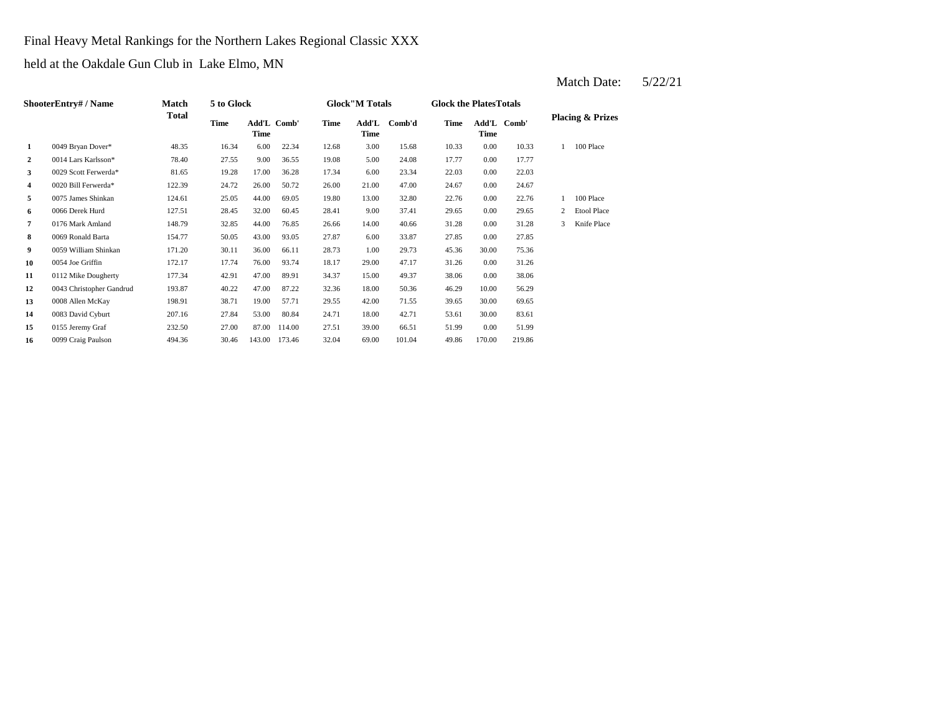Final Heavy Metal Rankings for the Northern Lakes Regional Classic XXX

held at the Oakdale Gun Club in Lake Elmo, MN

|                  | <b>ShooterEntry# / Name</b> | Match  | 5 to Glock  |       |               |       | <b>Glock</b> "M Totals |        | <b>Glock the PlatesTotals</b> |        |             |   |                             |  |
|------------------|-----------------------------|--------|-------------|-------|---------------|-------|------------------------|--------|-------------------------------|--------|-------------|---|-----------------------------|--|
|                  |                             | Total  | <b>Time</b> | Time  | Add'L Comb'   | Time  | Add'L<br>Time          | Comb'd | Time                          | Time   | Add'L Comb' |   | <b>Placing &amp; Prizes</b> |  |
| 1                | 0049 Bryan Dover*           | 48.35  | 16.34       | 6.00  | 22.34         | 12.68 | 3.00                   | 15.68  | 10.33                         | 0.00   | 10.33       |   | 100 Place                   |  |
| $\boldsymbol{2}$ | 0014 Lars Karlsson*         | 78.40  | 27.55       | 9.00  | 36.55         | 19.08 | 5.00                   | 24.08  | 17.77                         | 0.00   | 17.77       |   |                             |  |
| 3                | 0029 Scott Ferwerda*        | 81.65  | 19.28       | 17.00 | 36.28         | 17.34 | 6.00                   | 23.34  | 22.03                         | 0.00   | 22.03       |   |                             |  |
| 4                | 0020 Bill Ferwerda*         | 122.39 | 24.72       | 26.00 | 50.72         | 26.00 | 21.00                  | 47.00  | 24.67                         | 0.00   | 24.67       |   |                             |  |
| 5                | 0075 James Shinkan          | 124.61 | 25.05       | 44.00 | 69.05         | 19.80 | 13.00                  | 32.80  | 22.76                         | 0.00   | 22.76       |   | 100 Place                   |  |
| 6                | 0066 Derek Hurd             | 127.51 | 28.45       | 32.00 | 60.45         | 28.41 | 9.00                   | 37.41  | 29.65                         | 0.00   | 29.65       | 2 | Etool Place                 |  |
| 7                | 0176 Mark Amland            | 148.79 | 32.85       | 44.00 | 76.85         | 26.66 | 14.00                  | 40.66  | 31.28                         | 0.00   | 31.28       | 3 | Knife Place                 |  |
| 8                | 0069 Ronald Barta           | 154.77 | 50.05       | 43.00 | 93.05         | 27.87 | 6.00                   | 33.87  | 27.85                         | 0.00   | 27.85       |   |                             |  |
| 9                | 0059 William Shinkan        | 171.20 | 30.11       | 36.00 | 66.11         | 28.73 | 1.00                   | 29.73  | 45.36                         | 30.00  | 75.36       |   |                             |  |
| 10               | 0054 Joe Griffin            | 172.17 | 17.74       | 76.00 | 93.74         | 18.17 | 29.00                  | 47.17  | 31.26                         | 0.00   | 31.26       |   |                             |  |
| 11               | 0112 Mike Dougherty         | 177.34 | 42.91       | 47.00 | 89.91         | 34.37 | 15.00                  | 49.37  | 38.06                         | 0.00   | 38.06       |   |                             |  |
| 12               | 0043 Christopher Gandrud    | 193.87 | 40.22       | 47.00 | 87.22         | 32.36 | 18.00                  | 50.36  | 46.29                         | 10.00  | 56.29       |   |                             |  |
| 13               | 0008 Allen McKay            | 198.91 | 38.71       | 19.00 | 57.71         | 29.55 | 42.00                  | 71.55  | 39.65                         | 30.00  | 69.65       |   |                             |  |
| 14               | 0083 David Cyburt           | 207.16 | 27.84       | 53.00 | 80.84         | 24.71 | 18.00                  | 42.71  | 53.61                         | 30.00  | 83.61       |   |                             |  |
| 15               | 0155 Jeremy Graf            | 232.50 | 27.00       | 87.00 | 114.00        | 27.51 | 39.00                  | 66.51  | 51.99                         | 0.00   | 51.99       |   |                             |  |
| 16               | 0099 Craig Paulson          | 494.36 | 30.46       |       | 143.00 173.46 | 32.04 | 69.00                  | 101.04 | 49.86                         | 170.00 | 219.86      |   |                             |  |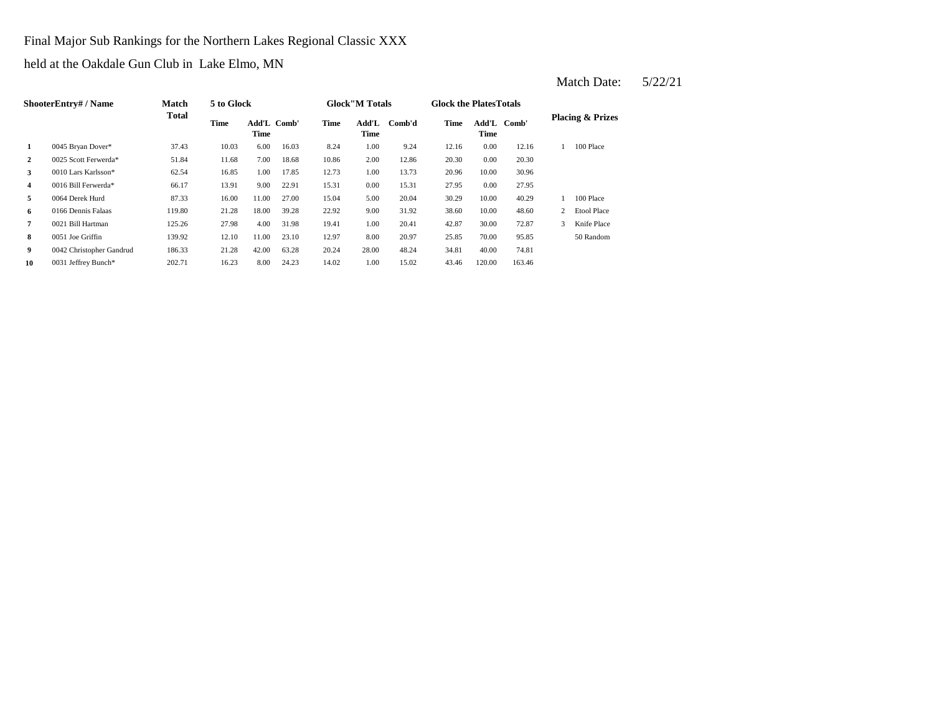Final Major Sub Rankings for the Northern Lakes Regional Classic XXX

held at the Oakdale Gun Club in Lake Elmo, MN

|                | ShooterEntry# / Name     | <b>Match</b> | 5 to Glock |       |             |       | <b>Glock</b> "M Totals |        | <b>Glock the Plates Totals</b> |        |             |   |                             |
|----------------|--------------------------|--------------|------------|-------|-------------|-------|------------------------|--------|--------------------------------|--------|-------------|---|-----------------------------|
|                |                          | <b>Total</b> | Time       | Time  | Add'L Comb' | Time  | Add'L<br>Time          | Comb'd | Time                           | Time   | Add'L Comb' |   | <b>Placing &amp; Prizes</b> |
| 1              | 0045 Bryan Dover*        | 37.43        | 10.03      | 6.00  | 16.03       | 8.24  | 1.00                   | 9.24   | 12.16                          | 0.00   | 12.16       |   | 100 Place                   |
| $\overline{2}$ | 0025 Scott Ferwerda*     | 51.84        | 11.68      | 7.00  | 18.68       | 10.86 | 2.00                   | 12.86  | 20.30                          | 0.00   | 20.30       |   |                             |
| 3              | 0010 Lars Karlsson*      | 62.54        | 16.85      | 1.00  | 17.85       | 12.73 | 1.00                   | 13.73  | 20.96                          | 10.00  | 30.96       |   |                             |
| 4              | 0016 Bill Ferwerda*      | 66.17        | 13.91      | 9.00  | 22.91       | 15.31 | 0.00                   | 15.31  | 27.95                          | 0.00   | 27.95       |   |                             |
| 5              | 0064 Derek Hurd          | 87.33        | 16.00      | 11.00 | 27.00       | 15.04 | 5.00                   | 20.04  | 30.29                          | 10.00  | 40.29       |   | 100 Place                   |
| 6              | 0166 Dennis Falaas       | 119.80       | 21.28      | 18.00 | 39.28       | 22.92 | 9.00                   | 31.92  | 38.60                          | 10.00  | 48.60       | 2 | <b>Etool Place</b>          |
| 7              | 0021 Bill Hartman        | 125.26       | 27.98      | 4.00  | 31.98       | 19.41 | 1.00                   | 20.41  | 42.87                          | 30.00  | 72.87       | 3 | Knife Place                 |
| 8              | 0051 Joe Griffin         | 139.92       | 12.10      | 11.00 | 23.10       | 12.97 | 8.00                   | 20.97  | 25.85                          | 70.00  | 95.85       |   | 50 Random                   |
| 9              | 0042 Christopher Gandrud | 186.33       | 21.28      | 42.00 | 63.28       | 20.24 | 28.00                  | 48.24  | 34.81                          | 40.00  | 74.81       |   |                             |
| 10             | 0031 Jeffrey Bunch*      | 202.71       | 16.23      | 8.00  | 24.23       | 14.02 | 1.00                   | 15.02  | 43.46                          | 120.00 | 163.46      |   |                             |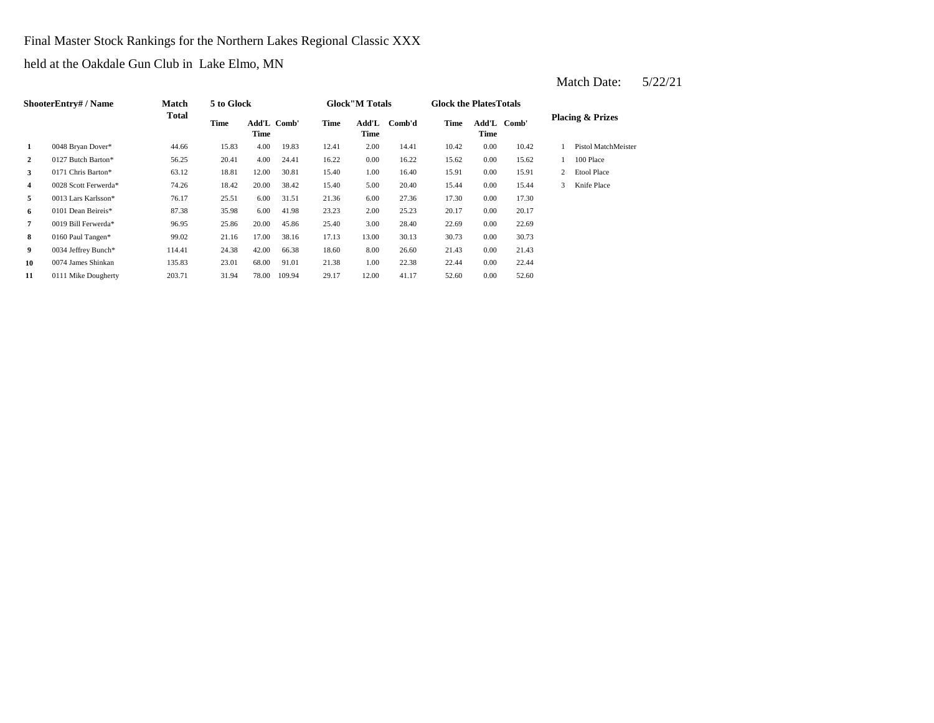Final Master Stock Rankings for the Northern Lakes Regional Classic XXX

held at the Oakdale Gun Club in Lake Elmo, MN

|                | ShooterEntry# / Name | Match  | 5 to Glock |                     |        |       | <b>Glock</b> "M Totals |        | <b>Glock the Plates Totals</b> |      |             |                |                             |
|----------------|----------------------|--------|------------|---------------------|--------|-------|------------------------|--------|--------------------------------|------|-------------|----------------|-----------------------------|
|                |                      | Total  | Time       | Add'L Comb'<br>Time |        | Time  | Add'L<br>Time          | Comb'd | Time                           | Time | Add'L Comb' |                | <b>Placing &amp; Prizes</b> |
| 1              | 0048 Bryan Dover*    | 44.66  | 15.83      | 4.00                | 19.83  | 12.41 | 2.00                   | 14.41  | 10.42                          | 0.00 | 10.42       |                | Pistol MatchMeister         |
| $\overline{2}$ | 0127 Butch Barton*   | 56.25  | 20.41      | 4.00                | 24.41  | 16.22 | 0.00                   | 16.22  | 15.62                          | 0.00 | 15.62       |                | 100 Place                   |
| 3              | 0171 Chris Barton*   | 63.12  | 18.81      | 12.00               | 30.81  | 15.40 | 1.00                   | 16.40  | 15.91                          | 0.00 | 15.91       | $\overline{2}$ | <b>Etool Place</b>          |
| 4              | 0028 Scott Ferwerda* | 74.26  | 18.42      | 20.00               | 38.42  | 15.40 | 5.00                   | 20.40  | 15.44                          | 0.00 | 15.44       | 3              | Knife Place                 |
| 5              | 0013 Lars Karlsson*  | 76.17  | 25.51      | 6.00                | 31.51  | 21.36 | 6.00                   | 27.36  | 17.30                          | 0.00 | 17.30       |                |                             |
| 6              | 0101 Dean Beireis*   | 87.38  | 35.98      | 6.00                | 41.98  | 23.23 | 2.00                   | 25.23  | 20.17                          | 0.00 | 20.17       |                |                             |
| 7              | 0019 Bill Ferwerda*  | 96.95  | 25.86      | 20.00               | 45.86  | 25.40 | 3.00                   | 28.40  | 22.69                          | 0.00 | 22.69       |                |                             |
| 8              | 0160 Paul Tangen*    | 99.02  | 21.16      | 17.00               | 38.16  | 17.13 | 13.00                  | 30.13  | 30.73                          | 0.00 | 30.73       |                |                             |
| 9              | 0034 Jeffrey Bunch*  | 114.41 | 24.38      | 42.00               | 66.38  | 18.60 | 8.00                   | 26.60  | 21.43                          | 0.00 | 21.43       |                |                             |
| 10             | 0074 James Shinkan   | 135.83 | 23.01      | 68.00               | 91.01  | 21.38 | 1.00                   | 22.38  | 22.44                          | 0.00 | 22.44       |                |                             |
| 11             | 0111 Mike Dougherty  | 203.71 | 31.94      | 78.00               | 109.94 | 29.17 | 12.00                  | 41.17  | 52.60                          | 0.00 | 52.60       |                |                             |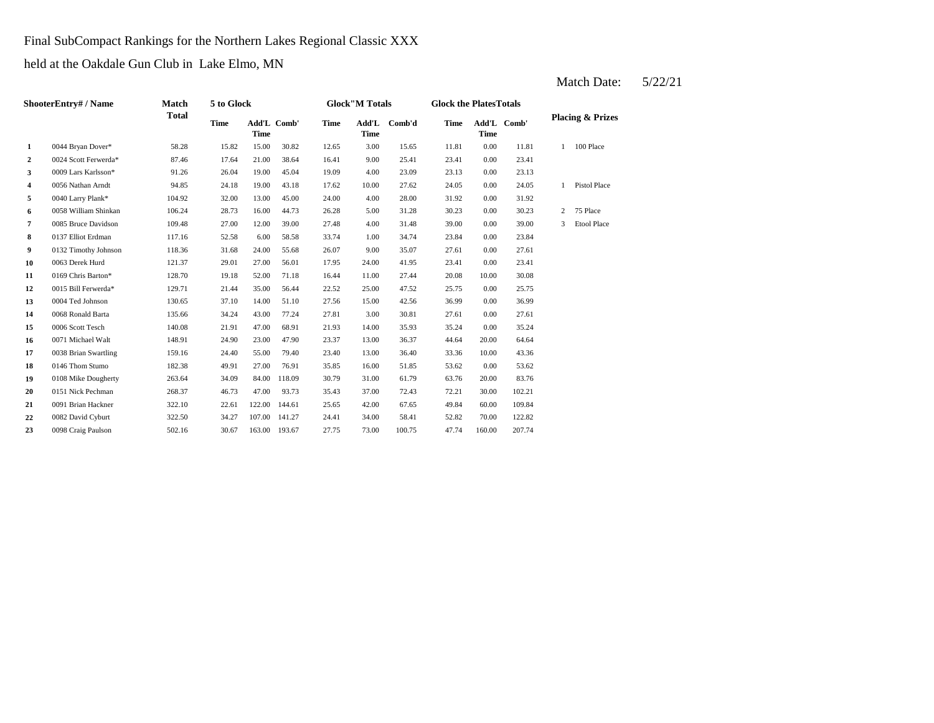Final SubCompact Rankings for the Northern Lakes Regional Classic XXX

held at the Oakdale Gun Club in Lake Elmo, MN

|                      | <b>Match</b>         |              |             |            |                              |                      |        |                       |             |        |                                              |                             |
|----------------------|----------------------|--------------|-------------|------------|------------------------------|----------------------|--------|-----------------------|-------------|--------|----------------------------------------------|-----------------------------|
|                      |                      | <b>Time</b>  | <b>Time</b> |            | <b>Time</b>                  | Add'L<br><b>Time</b> | Comb'd | <b>Time</b>           | <b>Time</b> |        |                                              | <b>Placing &amp; Prizes</b> |
| 0044 Bryan Dover*    | 58.28                | 15.82        | 15.00       | 30.82      | 12.65                        | 3.00                 | 15.65  | 11.81                 | 0.00        | 11.81  | 1                                            | 100 Place                   |
| 0024 Scott Ferwerda* | 87.46                | 17.64        | 21.00       | 38.64      | 16.41                        | 9.00                 | 25.41  | 23.41                 | 0.00        | 23.41  |                                              |                             |
| 0009 Lars Karlsson*  | 91.26                | 26.04        | 19.00       | 45.04      | 19.09                        | 4.00                 | 23.09  | 23.13                 | 0.00        | 23.13  |                                              |                             |
| 0056 Nathan Arndt    | 94.85                | 24.18        | 19.00       | 43.18      | 17.62                        | 10.00                | 27.62  | 24.05                 | 0.00        | 24.05  | $\mathbf{1}$                                 | Pistol Place                |
| 0040 Larry Plank*    | 104.92               | 32.00        | 13.00       | 45.00      | 24.00                        | 4.00                 | 28.00  | 31.92                 | 0.00        | 31.92  |                                              |                             |
| 0058 William Shinkan | 106.24               | 28.73        | 16.00       | 44.73      | 26.28                        | 5.00                 | 31.28  | 30.23                 | 0.00        | 30.23  | 2                                            | 75 Place                    |
| 0085 Bruce Davidson  | 109.48               | 27.00        | 12.00       | 39.00      | 27.48                        | 4.00                 | 31.48  | 39.00                 | 0.00        | 39.00  | 3                                            | Etool Place                 |
| 0137 Elliot Erdman   | 117.16               | 52.58        | 6.00        | 58.58      | 33.74                        | 1.00                 | 34.74  | 23.84                 | 0.00        | 23.84  |                                              |                             |
| 0132 Timothy Johnson | 118.36               | 31.68        | 24.00       | 55.68      | 26.07                        | 9.00                 | 35.07  | 27.61                 | 0.00        | 27.61  |                                              |                             |
| 0063 Derek Hurd      | 121.37               | 29.01        | 27.00       | 56.01      | 17.95                        | 24.00                | 41.95  | 23.41                 | 0.00        | 23.41  |                                              |                             |
| 0169 Chris Barton*   | 128.70               | 19.18        | 52.00       | 71.18      | 16.44                        | 11.00                | 27.44  | 20.08                 | 10.00       | 30.08  |                                              |                             |
| 0015 Bill Ferwerda*  | 129.71               | 21.44        | 35.00       | 56.44      | 22.52                        | 25.00                | 47.52  | 25.75                 | 0.00        | 25.75  |                                              |                             |
| 0004 Ted Johnson     | 130.65               | 37.10        | 14.00       | 51.10      | 27.56                        | 15.00                | 42.56  | 36.99                 | 0.00        | 36.99  |                                              |                             |
| 0068 Ronald Barta    | 135.66               | 34.24        | 43.00       | 77.24      | 27.81                        | 3.00                 | 30.81  | 27.61                 | 0.00        | 27.61  |                                              |                             |
| 0006 Scott Tesch     | 140.08               | 21.91        | 47.00       | 68.91      | 21.93                        | 14.00                | 35.93  | 35.24                 | 0.00        | 35.24  |                                              |                             |
| 0071 Michael Walt    | 148.91               | 24.90        | 23.00       | 47.90      | 23.37                        | 13.00                | 36.37  | 44.64                 | 20.00       | 64.64  |                                              |                             |
| 0038 Brian Swartling | 159.16               | 24.40        | 55.00       | 79.40      | 23.40                        | 13.00                | 36.40  | 33.36                 | 10.00       | 43.36  |                                              |                             |
| 0146 Thom Stumo      | 182.38               | 49.91        | 27.00       | 76.91      | 35.85                        | 16.00                | 51.85  | 53.62                 | 0.00        | 53.62  |                                              |                             |
| 0108 Mike Dougherty  | 263.64               | 34.09        | 84.00       | 118.09     | 30.79                        | 31.00                | 61.79  | 63.76                 | 20.00       | 83.76  |                                              |                             |
| 0151 Nick Pechman    | 268.37               | 46.73        | 47.00       | 93.73      | 35.43                        | 37.00                | 72.43  | 72.21                 | 30.00       | 102.21 |                                              |                             |
| 0091 Brian Hackner   | 322.10               | 22.61        | 122.00      | 144.61     | 25.65                        | 42.00                | 67.65  | 49.84                 | 60.00       | 109.84 |                                              |                             |
| 0082 David Cyburt    | 322.50               | 34.27        | 107.00      | 141.27     | 24.41                        | 34.00                | 58.41  | 52.82                 | 70.00       | 122.82 |                                              |                             |
| 0098 Craig Paulson   | 502.16               | 30.67        |             |            | 27.75                        | 73.00                | 100.75 | 47.74                 | 160.00      | 207.74 |                                              |                             |
|                      | ShooterEntry# / Name | <b>Total</b> |             | 5 to Glock | Add'L Comb'<br>163.00 193.67 |                      |        | <b>Glock"M Totals</b> |             |        | <b>Glock the PlatesTotals</b><br>Add'L Comb' |                             |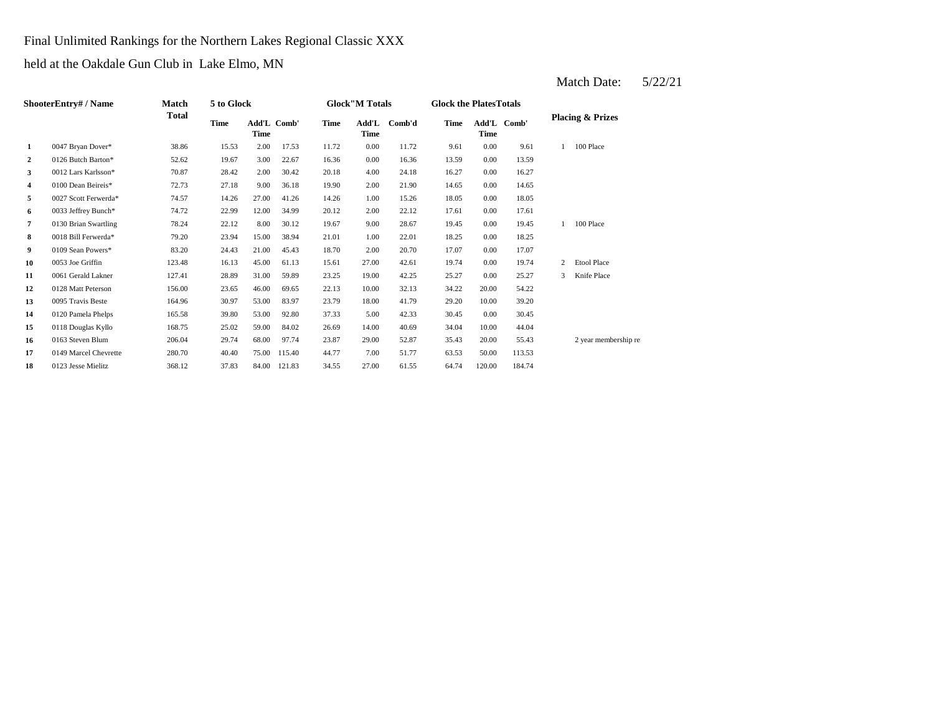Final Unlimited Rankings for the Northern Lakes Regional Classic XXX

held at the Oakdale Gun Club in Lake Elmo, MN

| ShooterEntry# / Name |                       | Match        | 5 to Glock |             |             |       | <b>Glock</b> "M Totals |        |       | <b>Glock the PlatesTotals</b> |             |                |                             |
|----------------------|-----------------------|--------------|------------|-------------|-------------|-------|------------------------|--------|-------|-------------------------------|-------------|----------------|-----------------------------|
|                      |                       | <b>Total</b> | Time       | <b>Time</b> | Add'L Comb' | Time  | Add'L<br><b>Time</b>   | Comb'd | Time  | <b>Time</b>                   | Add'L Comb' |                | <b>Placing &amp; Prizes</b> |
| 1                    | 0047 Bryan Dover*     | 38.86        | 15.53      | 2.00        | 17.53       | 11.72 | 0.00                   | 11.72  | 9.61  | 0.00                          | 9.61        |                | 100 Place                   |
| 2                    | 0126 Butch Barton*    | 52.62        | 19.67      | 3.00        | 22.67       | 16.36 | 0.00                   | 16.36  | 13.59 | 0.00                          | 13.59       |                |                             |
| 3                    | 0012 Lars Karlsson*   | 70.87        | 28.42      | 2.00        | 30.42       | 20.18 | 4.00                   | 24.18  | 16.27 | 0.00                          | 16.27       |                |                             |
| 4                    | 0100 Dean Beireis*    | 72.73        | 27.18      | 9.00        | 36.18       | 19.90 | 2.00                   | 21.90  | 14.65 | 0.00                          | 14.65       |                |                             |
| 5                    | 0027 Scott Ferwerda*  | 74.57        | 14.26      | 27.00       | 41.26       | 14.26 | 1.00                   | 15.26  | 18.05 | 0.00                          | 18.05       |                |                             |
| 6                    | 0033 Jeffrey Bunch*   | 74.72        | 22.99      | 12.00       | 34.99       | 20.12 | 2.00                   | 22.12  | 17.61 | 0.00                          | 17.61       |                |                             |
| $\overline{7}$       | 0130 Brian Swartling  | 78.24        | 22.12      | 8.00        | 30.12       | 19.67 | 9.00                   | 28.67  | 19.45 | 0.00                          | 19.45       | $\mathbf{1}$   | 100 Place                   |
| 8                    | 0018 Bill Ferwerda*   | 79.20        | 23.94      | 15.00       | 38.94       | 21.01 | 1.00                   | 22.01  | 18.25 | 0.00                          | 18.25       |                |                             |
| 9                    | 0109 Sean Powers*     | 83.20        | 24.43      | 21.00       | 45.43       | 18.70 | 2.00                   | 20.70  | 17.07 | 0.00                          | 17.07       |                |                             |
| 10                   | 0053 Joe Griffin      | 123.48       | 16.13      | 45.00       | 61.13       | 15.61 | 27.00                  | 42.61  | 19.74 | 0.00                          | 19.74       | $\overline{2}$ | Etool Place                 |
| 11                   | 0061 Gerald Lakner    | 127.41       | 28.89      | 31.00       | 59.89       | 23.25 | 19.00                  | 42.25  | 25.27 | 0.00                          | 25.27       | 3              | Knife Place                 |
| 12                   | 0128 Matt Peterson    | 156.00       | 23.65      | 46.00       | 69.65       | 22.13 | 10.00                  | 32.13  | 34.22 | 20.00                         | 54.22       |                |                             |
| 13                   | 0095 Travis Beste     | 164.96       | 30.97      | 53.00       | 83.97       | 23.79 | 18.00                  | 41.79  | 29.20 | 10.00                         | 39.20       |                |                             |
| 14                   | 0120 Pamela Phelps    | 165.58       | 39.80      | 53.00       | 92.80       | 37.33 | 5.00                   | 42.33  | 30.45 | 0.00                          | 30.45       |                |                             |
| 15                   | 0118 Douglas Kyllo    | 168.75       | 25.02      | 59.00       | 84.02       | 26.69 | 14.00                  | 40.69  | 34.04 | 10.00                         | 44.04       |                |                             |
| 16                   | 0163 Steven Blum      | 206.04       | 29.74      | 68.00       | 97.74       | 23.87 | 29.00                  | 52.87  | 35.43 | 20.00                         | 55.43       |                | 2 year membership re        |
| 17                   | 0149 Marcel Chevrette | 280.70       | 40.40      | 75.00       | 115.40      | 44.77 | 7.00                   | 51.77  | 63.53 | 50.00                         | 113.53      |                |                             |
| 18                   | 0123 Jesse Mielitz    | 368.12       | 37.83      | 84.00       | 121.83      | 34.55 | 27.00                  | 61.55  | 64.74 | 120.00                        | 184.74      |                |                             |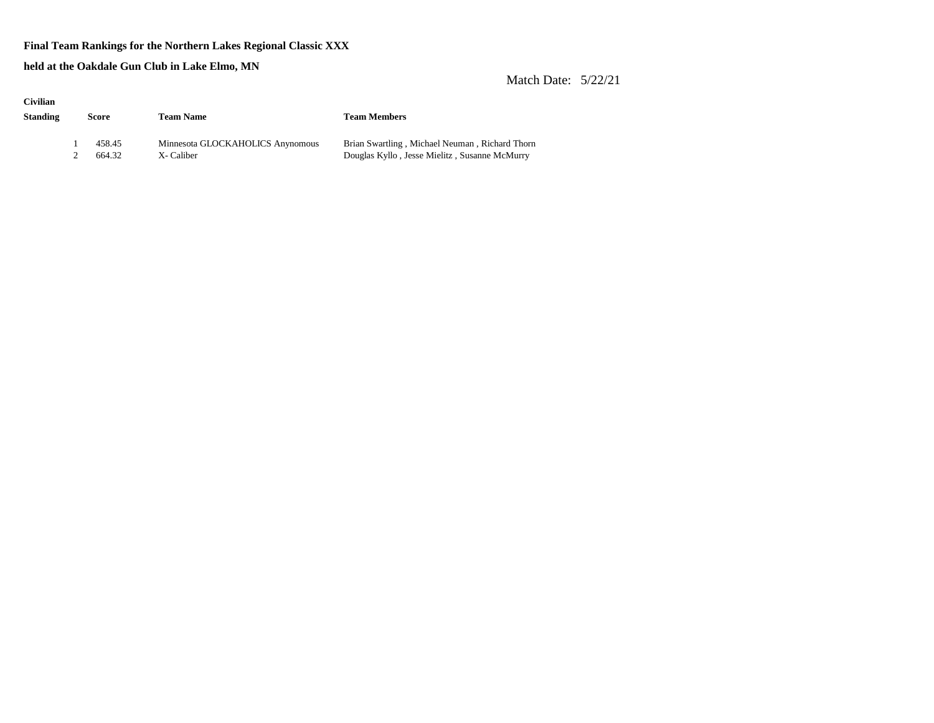#### **Final Team Rankings for the Northern Lakes Regional Classic XXX**

**held at the Oakdale Gun Club in Lake Elmo, MN**

| <b>Civilian</b> |        |                                  |                                                |  |  |
|-----------------|--------|----------------------------------|------------------------------------------------|--|--|
| Standing        | Score  | <b>Team Name</b>                 | <b>Team Members</b>                            |  |  |
|                 |        |                                  |                                                |  |  |
|                 | 458.45 | Minnesota GLOCKAHOLICS Anynomous | Brian Swartling, Michael Neuman, Richard Thorn |  |  |
|                 | 664.32 | X-Caliber                        | Douglas Kyllo, Jesse Mielitz, Susanne McMurry  |  |  |